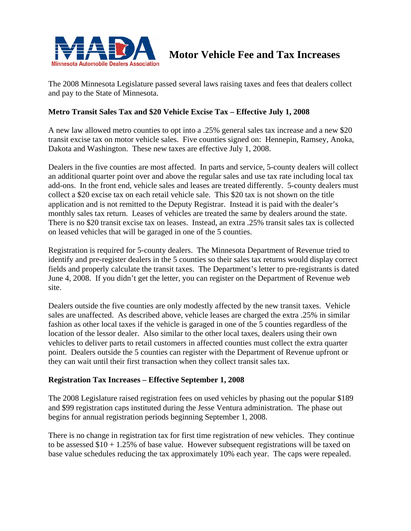

The 2008 Minnesota Legislature passed several laws raising taxes and fees that dealers collect and pay to the State of Minnesota.

## **Metro Transit Sales Tax and \$20 Vehicle Excise Tax – Effective July 1, 2008**

A new law allowed metro counties to opt into a .25% general sales tax increase and a new \$20 transit excise tax on motor vehicle sales. Five counties signed on: Hennepin, Ramsey, Anoka, Dakota and Washington. These new taxes are effective July 1, 2008.

Dealers in the five counties are most affected. In parts and service, 5-county dealers will collect an additional quarter point over and above the regular sales and use tax rate including local tax add-ons. In the front end, vehicle sales and leases are treated differently. 5-county dealers must collect a \$20 excise tax on each retail vehicle sale. This \$20 tax is not shown on the title application and is not remitted to the Deputy Registrar. Instead it is paid with the dealer's monthly sales tax return. Leases of vehicles are treated the same by dealers around the state. There is no \$20 transit excise tax on leases. Instead, an extra .25% transit sales tax is collected on leased vehicles that will be garaged in one of the 5 counties.

Registration is required for 5-county dealers. The Minnesota Department of Revenue tried to identify and pre-register dealers in the 5 counties so their sales tax returns would display correct fields and properly calculate the transit taxes. The Department's letter to pre-registrants is dated June 4, 2008. If you didn't get the letter, you can register on the Department of Revenue web site.

Dealers outside the five counties are only modestly affected by the new transit taxes. Vehicle sales are unaffected. As described above, vehicle leases are charged the extra .25% in similar fashion as other local taxes if the vehicle is garaged in one of the 5 counties regardless of the location of the lessor dealer. Also similar to the other local taxes, dealers using their own vehicles to deliver parts to retail customers in affected counties must collect the extra quarter point. Dealers outside the 5 counties can register with the Department of Revenue upfront or they can wait until their first transaction when they collect transit sales tax.

## **Registration Tax Increases – Effective September 1, 2008**

The 2008 Legislature raised registration fees on used vehicles by phasing out the popular \$189 and \$99 registration caps instituted during the Jesse Ventura administration. The phase out begins for annual registration periods beginning September 1, 2008.

There is no change in registration tax for first time registration of new vehicles. They continue to be assessed  $$10 + 1.25\%$  of base value. However subsequent registrations will be taxed on base value schedules reducing the tax approximately 10% each year. The caps were repealed.